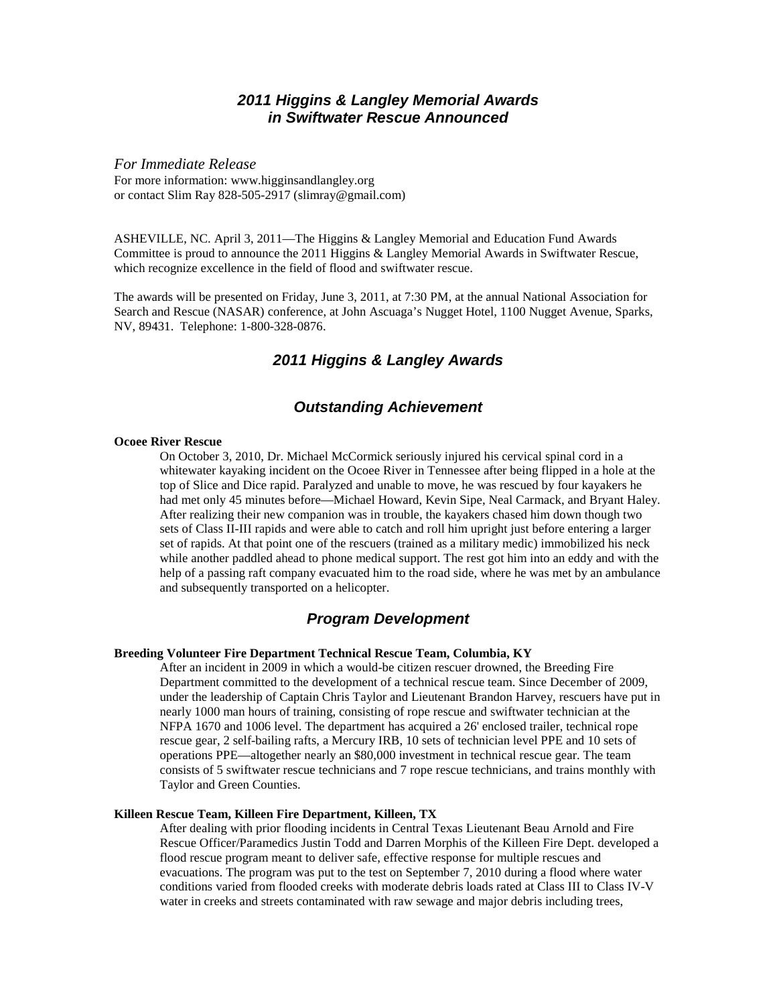# *2011 Higgins & Langley Memorial Awards in Swiftwater Rescue Announced*

*For Immediate Release* For more information: www.higginsandlangley.org or contact Slim Ray 828-505-2917 (slimray@gmail.com)

ASHEVILLE, NC. April 3, 2011—The Higgins & Langley Memorial and Education Fund Awards Committee is proud to announce the 2011 Higgins & Langley Memorial Awards in Swiftwater Rescue, which recognize excellence in the field of flood and swiftwater rescue.

The awards will be presented on Friday, June 3, 2011, at 7:30 PM, at the annual National Association for Search and Rescue (NASAR) conference, at John Ascuaga's Nugget Hotel, 1100 Nugget Avenue, Sparks, NV, 89431. Telephone: 1-800-328-0876.

# *2011 Higgins & Langley Awards*

### *Outstanding Achievement*

#### **Ocoee River Rescue**

On October 3, 2010, Dr. Michael McCormick seriously injured his cervical spinal cord in a whitewater kayaking incident on the Ocoee River in Tennessee after being flipped in a hole at the top of Slice and Dice rapid. Paralyzed and unable to move, he was rescued by four kayakers he had met only 45 minutes before—Michael Howard, Kevin Sipe, Neal Carmack, and Bryant Haley. After realizing their new companion was in trouble, the kayakers chased him down though two sets of Class II-III rapids and were able to catch and roll him upright just before entering a larger set of rapids. At that point one of the rescuers (trained as a military medic) immobilized his neck while another paddled ahead to phone medical support. The rest got him into an eddy and with the help of a passing raft company evacuated him to the road side, where he was met by an ambulance and subsequently transported on a helicopter.

### *Program Development*

#### **Breeding Volunteer Fire Department Technical Rescue Team, Columbia, KY**

After an incident in 2009 in which a would-be citizen rescuer drowned, the Breeding Fire Department committed to the development of a technical rescue team. Since December of 2009, under the leadership of Captain Chris Taylor and Lieutenant Brandon Harvey, rescuers have put in nearly 1000 man hours of training, consisting of rope rescue and swiftwater technician at the NFPA 1670 and 1006 level. The department has acquired a 26' enclosed trailer, technical rope rescue gear, 2 self-bailing rafts, a Mercury IRB, 10 sets of technician level PPE and 10 sets of operations PPE—altogether nearly an \$80,000 investment in technical rescue gear. The team consists of 5 swiftwater rescue technicians and 7 rope rescue technicians, and trains monthly with Taylor and Green Counties.

#### **Killeen Rescue Team, Killeen Fire Department, Killeen, TX**

After dealing with prior flooding incidents in Central Texas Lieutenant Beau Arnold and Fire Rescue Officer/Paramedics Justin Todd and Darren Morphis of the Killeen Fire Dept. developed a flood rescue program meant to deliver safe, effective response for multiple rescues and evacuations. The program was put to the test on September 7, 2010 during a flood where water conditions varied from flooded creeks with moderate debris loads rated at Class III to Class IV-V water in creeks and streets contaminated with raw sewage and major debris including trees,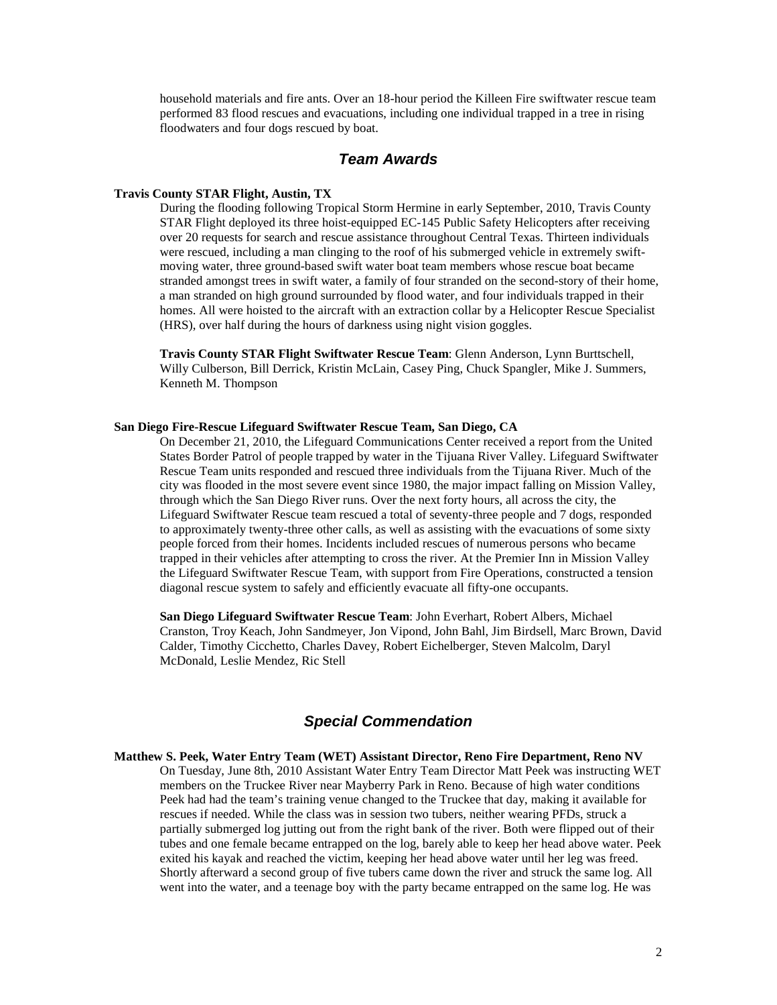household materials and fire ants. Over an 18-hour period the Killeen Fire swiftwater rescue team performed 83 flood rescues and evacuations, including one individual trapped in a tree in rising floodwaters and four dogs rescued by boat.

### *Team Awards*

#### **Travis County STAR Flight, Austin, TX**

During the flooding following Tropical Storm Hermine in early September, 2010, Travis County STAR Flight deployed its three hoist-equipped EC-145 Public Safety Helicopters after receiving over 20 requests for search and rescue assistance throughout Central Texas. Thirteen individuals were rescued, including a man clinging to the roof of his submerged vehicle in extremely swiftmoving water, three ground-based swift water boat team members whose rescue boat became stranded amongst trees in swift water, a family of four stranded on the second-story of their home, a man stranded on high ground surrounded by flood water, and four individuals trapped in their homes. All were hoisted to the aircraft with an extraction collar by a Helicopter Rescue Specialist (HRS), over half during the hours of darkness using night vision goggles.

**Travis County STAR Flight Swiftwater Rescue Team**: Glenn Anderson, Lynn Burttschell, Willy Culberson, Bill Derrick, Kristin McLain, Casey Ping, Chuck Spangler, Mike J. Summers, Kenneth M. Thompson

### **San Diego Fire-Rescue Lifeguard Swiftwater Rescue Team, San Diego, CA**

On December 21, 2010, the Lifeguard Communications Center received a report from the United States Border Patrol of people trapped by water in the Tijuana River Valley. Lifeguard Swiftwater Rescue Team units responded and rescued three individuals from the Tijuana River. Much of the city was flooded in the most severe event since 1980, the major impact falling on Mission Valley, through which the San Diego River runs. Over the next forty hours, all across the city, the Lifeguard Swiftwater Rescue team rescued a total of seventy-three people and 7 dogs, responded to approximately twenty-three other calls, as well as assisting with the evacuations of some sixty people forced from their homes. Incidents included rescues of numerous persons who became trapped in their vehicles after attempting to cross the river. At the Premier Inn in Mission Valley the Lifeguard Swiftwater Rescue Team, with support from Fire Operations, constructed a tension diagonal rescue system to safely and efficiently evacuate all fifty-one occupants.

**San Diego Lifeguard Swiftwater Rescue Team**: John Everhart, Robert Albers, Michael Cranston, Troy Keach, John Sandmeyer, Jon Vipond, John Bahl, Jim Birdsell, Marc Brown, David Calder, Timothy Cicchetto, Charles Davey, Robert Eichelberger, Steven Malcolm, Daryl McDonald, Leslie Mendez, Ric Stell

# *Special Commendation*

**Matthew S. Peek, Water Entry Team (WET) Assistant Director, Reno Fire Department, Reno NV** On Tuesday, June 8th, 2010 Assistant Water Entry Team Director Matt Peek was instructing WET members on the Truckee River near Mayberry Park in Reno. Because of high water conditions Peek had had the team's training venue changed to the Truckee that day, making it available for rescues if needed. While the class was in session two tubers, neither wearing PFDs, struck a partially submerged log jutting out from the right bank of the river. Both were flipped out of their tubes and one female became entrapped on the log, barely able to keep her head above water. Peek exited his kayak and reached the victim, keeping her head above water until her leg was freed. Shortly afterward a second group of five tubers came down the river and struck the same log. All went into the water, and a teenage boy with the party became entrapped on the same log. He was